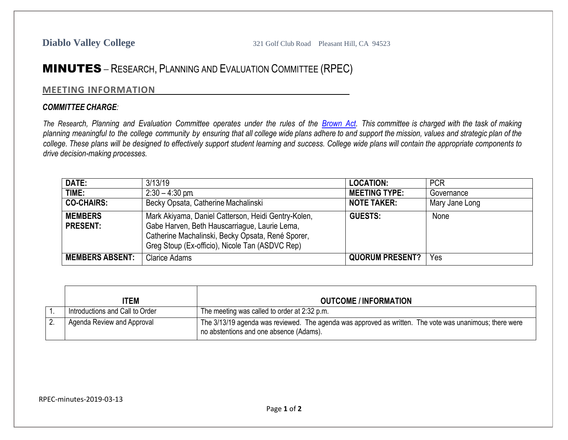## MINUTES – RESEARCH, PLANNING AND EVALUATION COMMITTEE (RPEC)

## **MEETING INFORMATION**

## *COMMITTEE CHARGE:*

The Research, Planning and Evaluation Committee operates under the rules of the [Brown](http://ag.ca.gov/publications/2003_Intro_BrownAct.pdf) Act. This committee is charged with the task of making planning meaningful to the college community by ensuring that all college wide plans adhere to and support the mission, values and strategic plan of the college. These plans will be designed to effectively support student learning and success. College wide plans will contain the appropriate components to *drive decision-making processes.*

| DATE:                             | 3/13/19                                                                                                                                                                                                      | <b>LOCATION:</b>       | <b>PCR</b>     |
|-----------------------------------|--------------------------------------------------------------------------------------------------------------------------------------------------------------------------------------------------------------|------------------------|----------------|
| TIME:                             | $2:30 - 4:30$ pm                                                                                                                                                                                             | <b>MEETING TYPE:</b>   | Governance     |
| <b>CO-CHAIRS:</b>                 | Becky Opsata, Catherine Machalinski                                                                                                                                                                          | <b>NOTE TAKER:</b>     | Mary Jane Long |
| <b>MEMBERS</b><br><b>PRESENT:</b> | Mark Akiyama, Daniel Catterson, Heidi Gentry-Kolen,<br>Gabe Harven, Beth Hauscarriague, Laurie Lema,<br>Catherine Machalinski, Becky Opsata, René Sporer,<br>Greg Stoup (Ex-officio), Nicole Tan (ASDVC Rep) | <b>GUESTS:</b>         | None           |
| <b>MEMBERS ABSENT:</b>            | <b>Clarice Adams</b>                                                                                                                                                                                         | <b>QUORUM PRESENT?</b> | Yes            |

| ITEM                            | <b>OUTCOME / INFORMATION</b>                                                                                                                       |
|---------------------------------|----------------------------------------------------------------------------------------------------------------------------------------------------|
| Introductions and Call to Order | The meeting was called to order at 2:32 p.m.                                                                                                       |
| Agenda Review and Approval      | The 3/13/19 agenda was reviewed. The agenda was approved as written. The vote was unanimous; there were<br>no abstentions and one absence (Adams). |